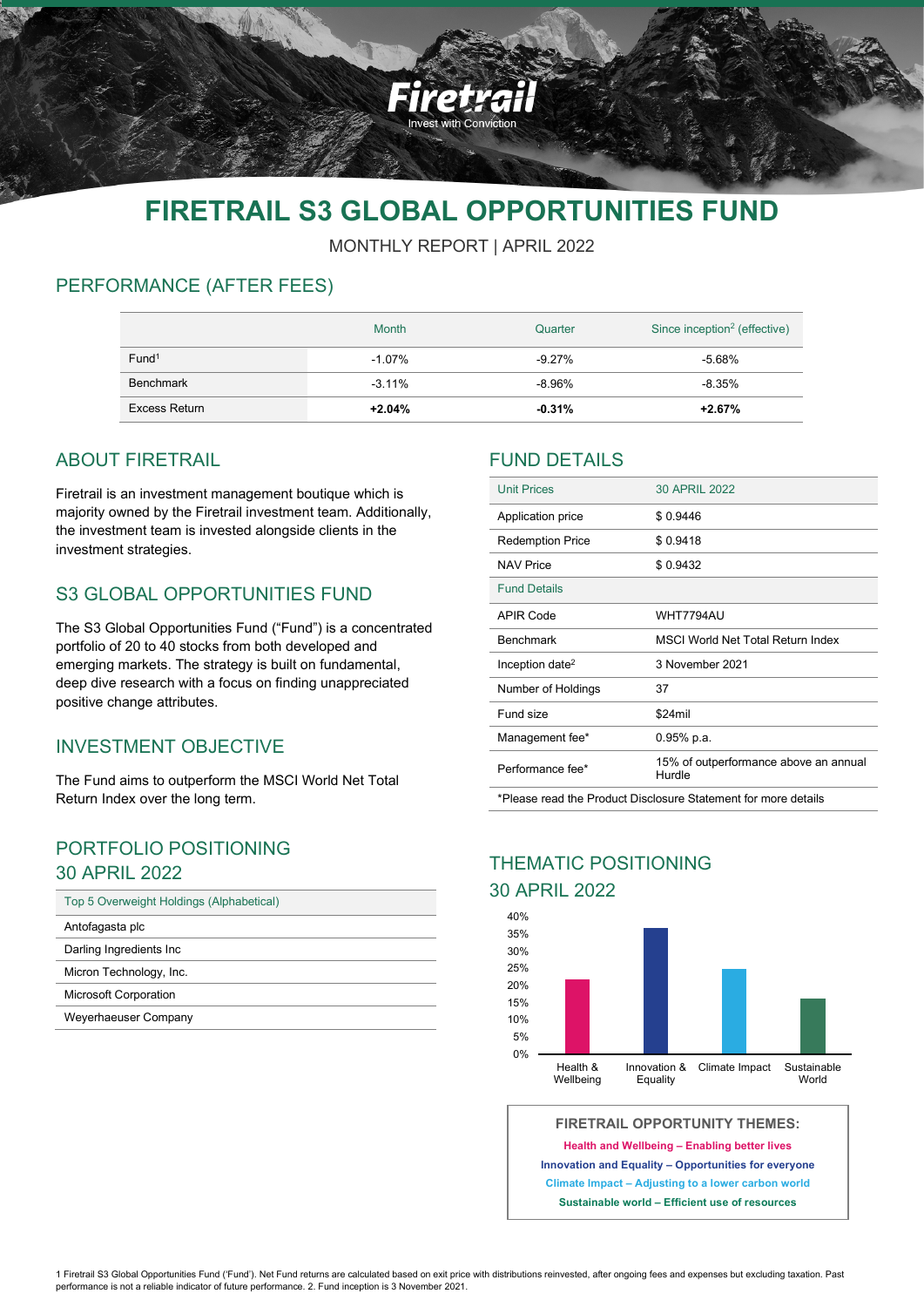

# **FIRETRAIL S3 GLOBAL OPPORTUNITIES FUND**

MONTHLY REPORT | APRIL 2022

# PERFORMANCE (AFTER FEES)

|                   | <b>Month</b> | Quarter   | Since inception <sup>2</sup> (effective) |
|-------------------|--------------|-----------|------------------------------------------|
| Fund <sup>1</sup> | $-1.07\%$    | $-9.27\%$ | $-5.68%$                                 |
| Benchmark         | $-3.11\%$    | -8.96%    | $-8.35%$                                 |
| Excess Return     | $+2.04%$     | $-0.31%$  | $+2.67%$                                 |

# ABOUT FIRETRAIL

Firetrail is an investment management boutique which is majority owned by the Firetrail investment team. Additionally, the investment team is invested alongside clients in the investment strategies.

## S3 GLOBAL OPPORTUNITIES FUND

The S3 Global Opportunities Fund ("Fund") is a concentrated portfolio of 20 to 40 stocks from both developed and emerging markets. The strategy is built on fundamental, deep dive research with a focus on finding unappreciated positive change attributes.

# INVESTMENT OBJECTIVE

The Fund aims to outperform the MSCI World Net Total Return Index over the long term.

### PORTFOLIO POSITIONING 30 APRIL 2022

| Top 5 Overweight Holdings (Alphabetical) |  |  |
|------------------------------------------|--|--|
| Antofagasta plc                          |  |  |
| Darling Ingredients Inc.                 |  |  |
| Micron Technology, Inc.                  |  |  |
| <b>Microsoft Corporation</b>             |  |  |
| Weyerhaeuser Company                     |  |  |

### FUND DETAILS

| <b>Unit Prices</b>                                             | 30 APRIL 2022                                   |  |  |
|----------------------------------------------------------------|-------------------------------------------------|--|--|
| Application price                                              | \$0.9446                                        |  |  |
| <b>Redemption Price</b>                                        | \$0.9418                                        |  |  |
| <b>NAV Price</b>                                               | \$0.9432                                        |  |  |
| <b>Fund Details</b>                                            |                                                 |  |  |
| APIR Code                                                      | WHT7794AU                                       |  |  |
| <b>Benchmark</b>                                               | <b>MSCI World Net Total Return Index</b>        |  |  |
| Inception date <sup>2</sup>                                    | 3 November 2021                                 |  |  |
| Number of Holdings                                             | 37                                              |  |  |
| Fund size                                                      | \$24mil                                         |  |  |
| Management fee*                                                | 0.95% p.a.                                      |  |  |
| Performance fee*                                               | 15% of outperformance above an annual<br>Hurdle |  |  |
| *Please read the Product Disclosure Statement for more details |                                                 |  |  |

# THEMATIC POSITIONING

### 30 APRIL 2022



**FIRETRAIL OPPORTUNITY THEMES:**

**Health and Wellbeing – Enabling better lives**

**Innovation and Equality – Opportunities for everyone Climate Impact – Adjusting to a lower carbon world Sustainable world – Efficient use of resources**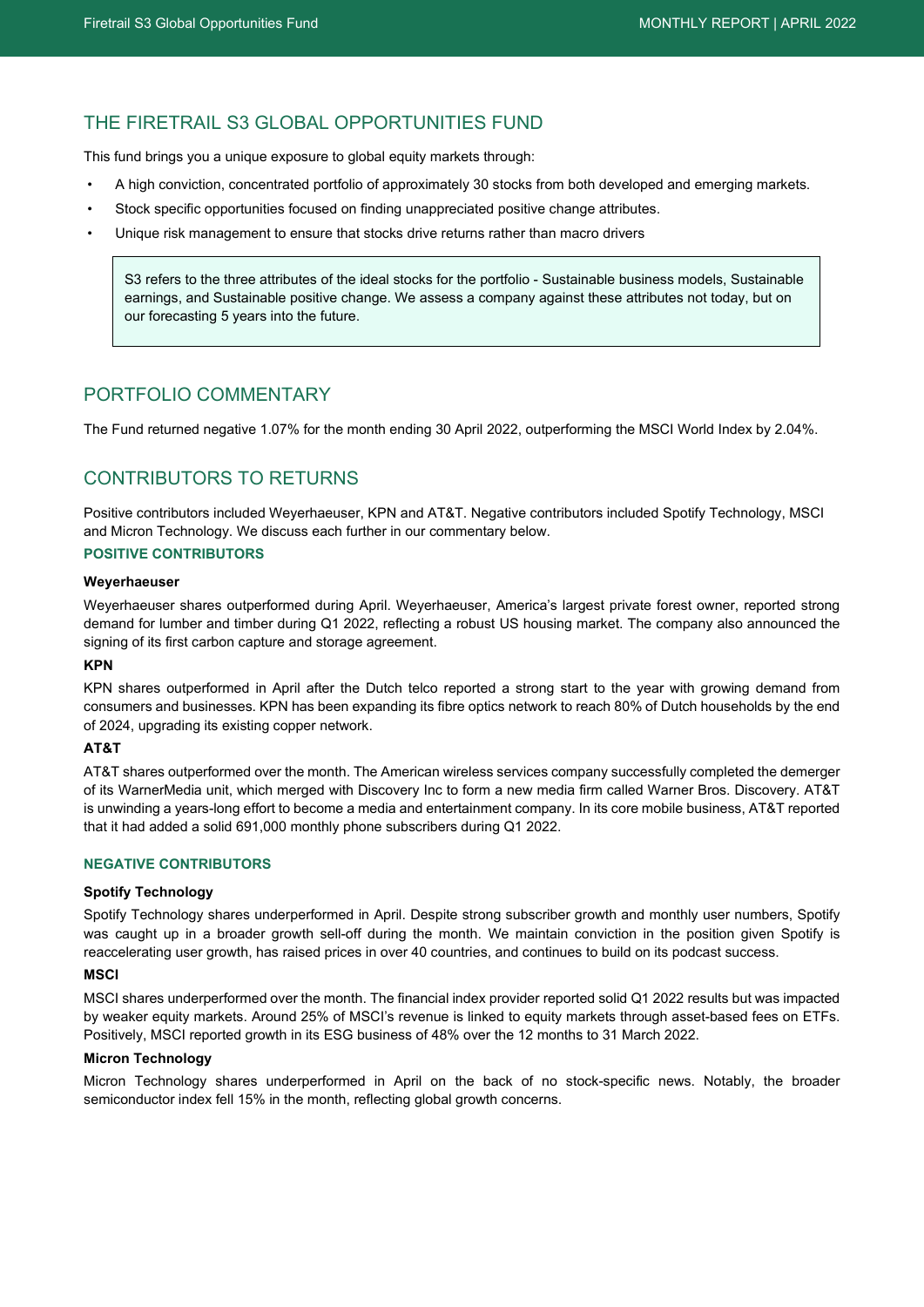### THE FIRETRAIL S3 GLOBAL OPPORTUNITIES FUND

This fund brings you a unique exposure to global equity markets through:

- A high conviction, concentrated portfolio of approximately 30 stocks from both developed and emerging markets.
- Stock specific opportunities focused on finding unappreciated positive change attributes.
- Unique risk management to ensure that stocks drive returns rather than macro drivers

S3 refers to the three attributes of the ideal stocks for the portfolio - Sustainable business models, Sustainable earnings, and Sustainable positive change. We assess a company against these attributes not today, but on our forecasting 5 years into the future.

### PORTFOLIO COMMENTARY

The Fund returned negative 1.07% for the month ending 30 April 2022, outperforming the MSCI World Index by 2.04%.

### CONTRIBUTORS TO RETURNS

Positive contributors included Weyerhaeuser, KPN and AT&T. Negative contributors included Spotify Technology, MSCI and Micron Technology. We discuss each further in our commentary below.

#### **POSITIVE CONTRIBUTORS**

#### **Weyerhaeuser**

Weyerhaeuser shares outperformed during April. Weyerhaeuser, America's largest private forest owner, reported strong demand for lumber and timber during Q1 2022, reflecting a robust US housing market. The company also announced the signing of its first carbon capture and storage agreement.

#### **KPN**

KPN shares outperformed in April after the Dutch telco reported a strong start to the year with growing demand from consumers and businesses. KPN has been expanding its fibre optics network to reach 80% of Dutch households by the end of 2024, upgrading its existing copper network.

#### **AT&T**

AT&T shares outperformed over the month. The American wireless services company successfully completed the demerger of its WarnerMedia unit, which merged with Discovery Inc to form a new media firm called Warner Bros. Discovery. AT&T is unwinding a years-long effort to become a media and entertainment company. In its core mobile business, AT&T reported that it had added a solid 691,000 monthly phone subscribers during Q1 2022.

#### **NEGATIVE CONTRIBUTORS**

#### **Spotify Technology**

Spotify Technology shares underperformed in April. Despite strong subscriber growth and monthly user numbers, Spotify was caught up in a broader growth sell-off during the month. We maintain conviction in the position given Spotify is reaccelerating user growth, has raised prices in over 40 countries, and continues to build on its podcast success.

#### **MSCI**

MSCI shares underperformed over the month. The financial index provider reported solid Q1 2022 results but was impacted by weaker equity markets. Around 25% of MSCI's revenue is linked to equity markets through asset-based fees on ETFs. Positively, MSCI reported growth in its ESG business of 48% over the 12 months to 31 March 2022.

#### **Micron Technology**

Micron Technology shares underperformed in April on the back of no stock-specific news. Notably, the broader semiconductor index fell 15% in the month, reflecting global growth concerns.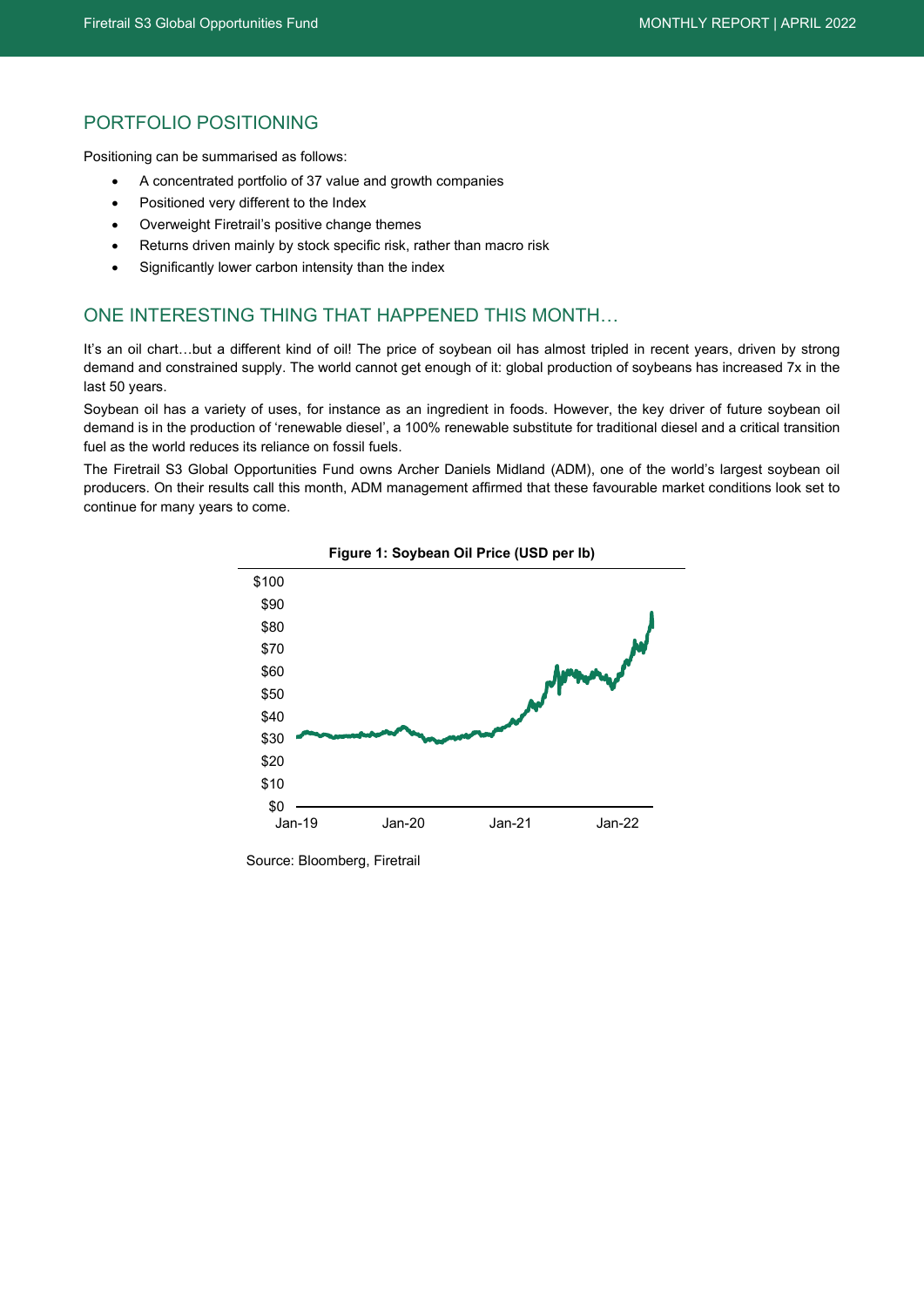### PORTFOLIO POSITIONING

Positioning can be summarised as follows:

- A concentrated portfolio of 37 value and growth companies
- Positioned very different to the Index
- Overweight Firetrail's positive change themes
- Returns driven mainly by stock specific risk, rather than macro risk
- Significantly lower carbon intensity than the index

### ONE INTERESTING THING THAT HAPPENED THIS MONTH…

It's an oil chart...but a different kind of oil! The price of soybean oil has almost tripled in recent years, driven by strong demand and constrained supply. The world cannot get enough of it: global production of soybeans has increased 7x in the last 50 years.

Soybean oil has a variety of uses, for instance as an ingredient in foods. However, the key driver of future soybean oil demand is in the production of 'renewable diesel', a 100% renewable substitute for traditional diesel and a critical transition fuel as the world reduces its reliance on fossil fuels.

The Firetrail S3 Global Opportunities Fund owns Archer Daniels Midland (ADM), one of the world's largest soybean oil producers. On their results call this month, ADM management affirmed that these favourable market conditions look set to continue for many years to come.



**Figure 1: Soybean Oil Price (USD per lb)**

Source: Bloomberg, Firetrail